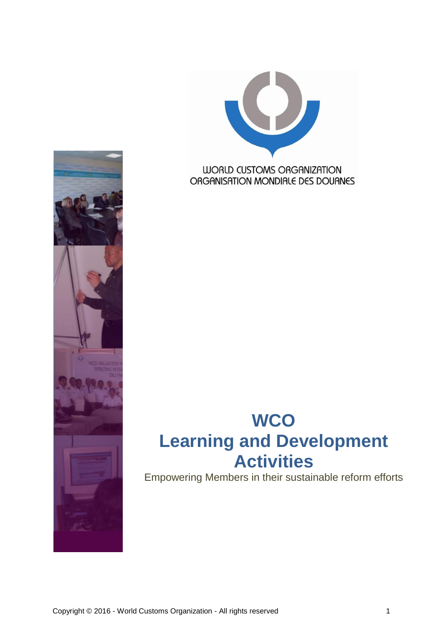



Empowering Members in their sustainable reform efforts

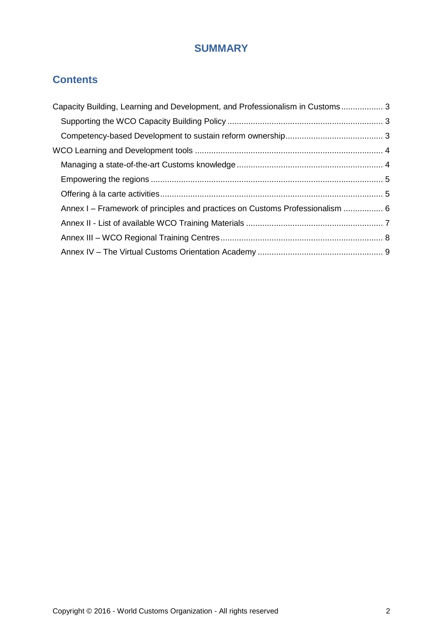## **SUMMARY**

## **Contents**

| Capacity Building, Learning and Development, and Professionalism in Customs 3 |  |
|-------------------------------------------------------------------------------|--|
|                                                                               |  |
|                                                                               |  |
|                                                                               |  |
|                                                                               |  |
|                                                                               |  |
|                                                                               |  |
| Annex I – Framework of principles and practices on Customs Professionalism  6 |  |
|                                                                               |  |
|                                                                               |  |
|                                                                               |  |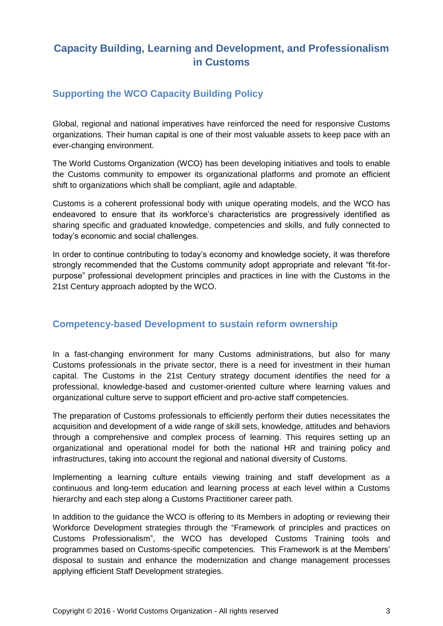## <span id="page-2-0"></span>**Capacity Building, Learning and Development, and Professionalism in Customs**

#### <span id="page-2-1"></span>**Supporting the WCO Capacity Building Policy**

Global, regional and national imperatives have reinforced the need for responsive Customs organizations. Their human capital is one of their most valuable assets to keep pace with an ever-changing environment.

The World Customs Organization (WCO) has been developing initiatives and tools to enable the Customs community to empower its organizational platforms and promote an efficient shift to organizations which shall be compliant, agile and adaptable.

Customs is a coherent professional body with unique operating models, and the WCO has endeavored to ensure that its workforce's characteristics are progressively identified as sharing specific and graduated knowledge, competencies and skills, and fully connected to today's economic and social challenges.

In order to continue contributing to today's economy and knowledge society, it was therefore strongly recommended that the Customs community adopt appropriate and relevant "fit-forpurpose" professional development principles and practices in line with the Customs in the 21st Century approach adopted by the WCO.

#### <span id="page-2-2"></span>**Competency-based Development to sustain reform ownership**

In a fast-changing environment for many Customs administrations, but also for many Customs professionals in the private sector, there is a need for investment in their human capital. The Customs in the 21st Century strategy document identifies the need for a professional, knowledge-based and customer-oriented culture where learning values and organizational culture serve to support efficient and pro-active staff competencies.

The preparation of Customs professionals to efficiently perform their duties necessitates the acquisition and development of a wide range of skill sets, knowledge, attitudes and behaviors through a comprehensive and complex process of learning. This requires setting up an organizational and operational model for both the national HR and training policy and infrastructures, taking into account the regional and national diversity of Customs.

Implementing a learning culture entails viewing training and staff development as a continuous and long-term education and learning process at each level within a Customs hierarchy and each step along a Customs Practitioner career path.

In addition to the guidance the WCO is offering to its Members in adopting or reviewing their Workforce Development strategies through the "Framework of principles and practices on Customs Professionalism", the WCO has developed Customs Training tools and programmes based on Customs-specific competencies. This Framework is at the Members' disposal to sustain and enhance the modernization and change management processes applying efficient Staff Development strategies.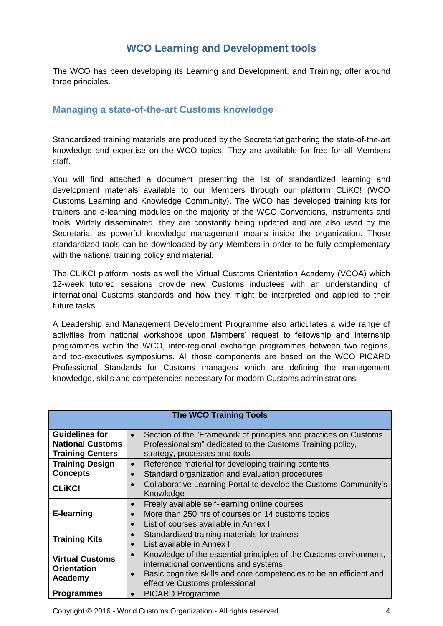### **WCO Learning and Development tools**

<span id="page-3-0"></span>The WCO has been developing its Learning and Development, and Training, offer around three principles.

#### <span id="page-3-1"></span>**Managing a state-of-the-art Customs knowledge**

Standardized training materials are produced by the Secretariat gathering the state-of-the-art knowledge and expertise on the WCO topics. They are available for free for all Members staff.

You will find attached a document presenting the list of standardized learning and development materials available to our Members through our platform CLiKC! (WCO Customs Learning and Knowledge Community). The WCO has developed training kits for trainers and e-learning modules on the majority of the WCO Conventions, instruments and tools. Widely disseminated, they are constantly being updated and are also used by the Secretariat as powerful knowledge management means inside the organization. Those standardized tools can be downloaded by any Members in order to be fully complementary with the national training policy and material.

The CLiKC! platform hosts as well the Virtual Customs Orientation Academy (VCOA) which 12-week tutored sessions provide new Customs inductees with an understanding of international Customs standards and how they might be interpreted and applied to their future tasks.

A Leadership and Management Development Programme also articulates a wide range of activities from national workshops upon Members' request to fellowship and internship programmes within the WCO, inter-regional exchange programmes between two regions, and top-executives symposiums. All those components are based on the WCO PICARD Professional Standards for Customs managers which are defining the management knowledge, skills and competencies necessary for modern Customs administrations.

|                                                                             | <b>The WCO Training Tools</b>                                                                                                                                                                                                                 |
|-----------------------------------------------------------------------------|-----------------------------------------------------------------------------------------------------------------------------------------------------------------------------------------------------------------------------------------------|
| <b>Guidelines for</b><br><b>National Customs</b><br><b>Training Centers</b> | Section of the "Framework of principles and practices on Customs<br>$\bullet$<br>Professionalism" dedicated to the Customs Training policy,<br>strategy, processes and tools                                                                  |
| <b>Training Design</b><br><b>Concepts</b>                                   | Reference material for developing training contents<br>$\bullet$<br>Standard organization and evaluation procedures<br>$\bullet$                                                                                                              |
| <b>CLIKC!</b>                                                               | Collaborative Learning Portal to develop the Customs Community's<br>$\bullet$<br>Knowledge                                                                                                                                                    |
| <b>E-learning</b>                                                           | Freely available self-learning online courses<br>$\bullet$<br>More than 250 hrs of courses on 14 customs topics<br>$\bullet$<br>List of courses available in Annex I<br>$\bullet$                                                             |
| <b>Training Kits</b>                                                        | Standardized training materials for trainers<br>$\bullet$<br>List available in Annex I<br>$\bullet$                                                                                                                                           |
| <b>Virtual Customs</b><br><b>Orientation</b><br>Academy                     | Knowledge of the essential principles of the Customs environment,<br>$\bullet$<br>international conventions and systems<br>Basic cognitive skills and core competencies to be an efficient and<br>$\bullet$<br>effective Customs professional |
| <b>Programmes</b>                                                           | <b>PICARD Programme</b><br>$\bullet$                                                                                                                                                                                                          |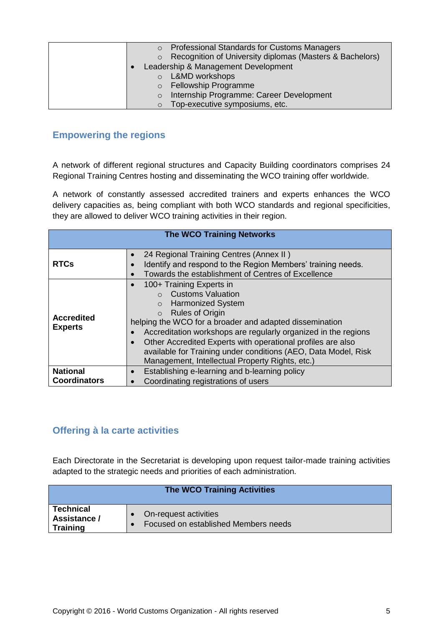| <b>Professional Standards for Customs Managers</b>                  |
|---------------------------------------------------------------------|
| Recognition of University diplomas (Masters & Bachelors)<br>$\circ$ |
| Leadership & Management Development                                 |
| L&MD workshops<br>$\Omega$                                          |
| o Fellowship Programme                                              |
| Internship Programme: Career Development<br>$\circ$                 |
| Top-executive symposiums, etc.<br>$\circ$                           |

#### <span id="page-4-0"></span>**Empowering the regions**

A network of different regional structures and Capacity Building coordinators comprises 24 Regional Training Centres hosting and disseminating the WCO training offer worldwide.

A network of constantly assessed accredited trainers and experts enhances the WCO delivery capacities as, being compliant with both WCO standards and regional specificities, they are allowed to deliver WCO training activities in their region.

|                                     | <b>The WCO Training Networks</b>                                                                                                                                                                                                                                                                                                                                                                                                                                |
|-------------------------------------|-----------------------------------------------------------------------------------------------------------------------------------------------------------------------------------------------------------------------------------------------------------------------------------------------------------------------------------------------------------------------------------------------------------------------------------------------------------------|
| <b>RTCs</b>                         | 24 Regional Training Centres (Annex II)<br>Identify and respond to the Region Members' training needs.<br>Towards the establishment of Centres of Excellence<br>$\bullet$                                                                                                                                                                                                                                                                                       |
| <b>Accredited</b><br><b>Experts</b> | 100+ Training Experts in<br>$\bullet$<br><b>Customs Valuation</b><br><b>Harmonized System</b><br>$\Omega$<br><b>Rules of Origin</b><br>$\circ$<br>helping the WCO for a broader and adapted dissemination<br>Accreditation workshops are regularly organized in the regions<br>Other Accredited Experts with operational profiles are also<br>available for Training under conditions (AEO, Data Model, Risk<br>Management, Intellectual Property Rights, etc.) |
| <b>National</b>                     | Establishing e-learning and b-learning policy                                                                                                                                                                                                                                                                                                                                                                                                                   |
| <b>Coordinators</b>                 | Coordinating registrations of users<br>$\bullet$                                                                                                                                                                                                                                                                                                                                                                                                                |

#### <span id="page-4-1"></span>**Offering à la carte activities**

Each Directorate in the Secretariat is developing upon request tailor-made training activities adapted to the strategic needs and priorities of each administration.

|                                                     | <b>The WCO Training Activities</b>                            |
|-----------------------------------------------------|---------------------------------------------------------------|
| <b>Technical</b><br>Assistance /<br><b>Training</b> | On-request activities<br>Focused on established Members needs |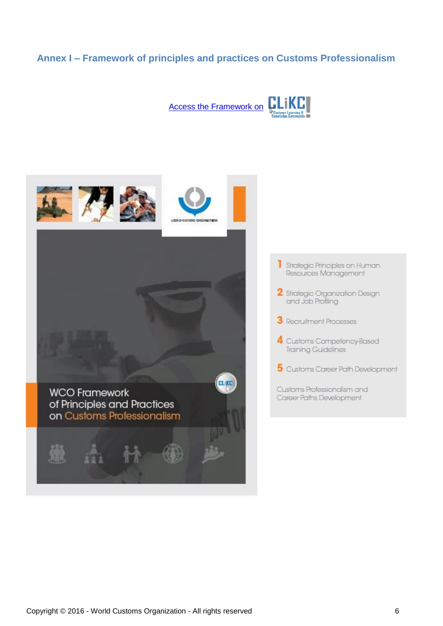#### <span id="page-5-0"></span>**Annex I – Framework of principles and practices on Customs Professionalism**



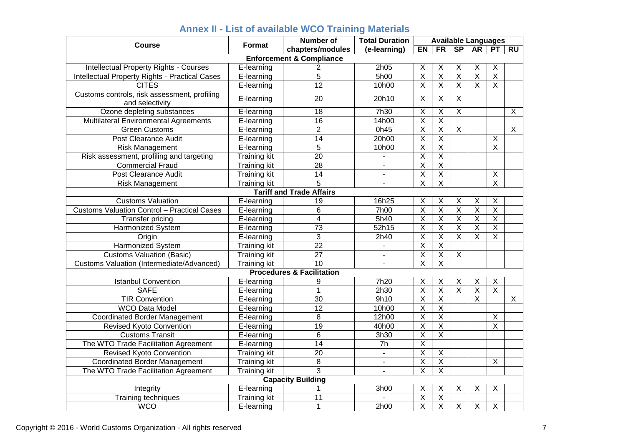<span id="page-6-0"></span>

| Course                                                          | <b>Format</b>       | <b>Number of</b>                     | <b>Total Duration</b> | <b>Available Languages</b> |                         |                           |                         |                         |                         |
|-----------------------------------------------------------------|---------------------|--------------------------------------|-----------------------|----------------------------|-------------------------|---------------------------|-------------------------|-------------------------|-------------------------|
|                                                                 |                     | chapters/modules                     | (e-learning)          | $E$ N                      | FR                      | SP                        | AR                      | PT                      | $\overline{RU}$         |
|                                                                 |                     | <b>Enforcement &amp; Compliance</b>  |                       |                            |                         |                           |                         |                         |                         |
| Intellectual Property Rights - Courses                          | E-learning          | 2                                    | 2h05                  | Χ                          | X                       | X                         | Χ                       | X                       |                         |
| <b>Intellectual Property Rights - Practical Cases</b>           | E-learning          | $\overline{5}$                       | 5h00                  | $\overline{\mathsf{X}}$    | $\overline{\mathsf{X}}$ | $\overline{X}$            | $\overline{X}$          | $\overline{\mathsf{X}}$ |                         |
| <b>CITES</b>                                                    | E-learning          | $\overline{12}$                      | 10h00                 | $\overline{\mathsf{x}}$    | $\overline{\mathsf{x}}$ | $\overline{\mathsf{x}}$   | $\overline{\mathsf{x}}$ | $\overline{X}$          |                         |
| Customs controls, risk assessment, profiling<br>and selectivity | E-learning          | 20                                   | 20h10                 | X                          | $\mathsf{X}$            | $\boldsymbol{\mathsf{X}}$ |                         |                         |                         |
| Ozone depleting substances                                      | E-learning          | 18                                   | 7h30                  | $\overline{\mathsf{x}}$    | $\overline{\mathsf{x}}$ | $\overline{X}$            |                         |                         | $\overline{X}$          |
| Multilateral Environmental Agreements                           | E-learning          | 16                                   | 14h00                 | $\overline{\mathsf{x}}$    | $\overline{\mathsf{x}}$ |                           |                         |                         |                         |
| <b>Green Customs</b>                                            | E-learning          | $\overline{2}$                       | 0h45                  | $\overline{\mathsf{x}}$    | $\overline{\mathsf{x}}$ | $\overline{X}$            |                         |                         | $\overline{\mathsf{x}}$ |
| Post Clearance Audit                                            | E-learning          | $\overline{14}$                      | 20h00                 | $\overline{\mathsf{X}}$    | $\overline{X}$          |                           |                         | $\overline{\mathsf{x}}$ |                         |
| <b>Risk Management</b>                                          | E-learning          | $\overline{5}$                       | 10h00                 | $\overline{\mathsf{X}}$    | $\overline{\mathsf{x}}$ |                           |                         | $\overline{X}$          |                         |
| Risk assessment, profiling and targeting                        | Training kit        | $\overline{20}$                      | $\blacksquare$        | $\overline{\mathsf{X}}$    | $\overline{\mathsf{X}}$ |                           |                         |                         |                         |
| <b>Commercial Fraud</b>                                         | <b>Training kit</b> | 28                                   |                       | $\overline{\mathsf{x}}$    | $\overline{\mathsf{x}}$ |                           |                         |                         |                         |
| Post Clearance Audit                                            | <b>Training kit</b> | $\overline{14}$                      | $\blacksquare$        | $\overline{\mathsf{X}}$    | $\overline{X}$          |                           |                         | $\overline{X}$          |                         |
| Risk Management                                                 | <b>Training kit</b> | 5                                    |                       | $\overline{\mathsf{x}}$    | $\overline{X}$          |                           |                         | $\overline{\mathsf{x}}$ |                         |
|                                                                 |                     | <b>Tariff and Trade Affairs</b>      |                       |                            |                         |                           |                         |                         |                         |
| <b>Customs Valuation</b>                                        | E-learning          | 19                                   | 16h25                 | X                          | X                       | X                         | Χ                       | $\sf X$                 |                         |
| <b>Customs Valuation Control - Practical Cases</b>              | E-learning          | 6                                    | <b>7h00</b>           | $\overline{\mathsf{x}}$    | $\overline{\mathsf{X}}$ | $\overline{X}$            | $\overline{\mathsf{X}}$ | $\overline{\mathsf{X}}$ |                         |
| <b>Transfer pricing</b>                                         | E-learning          | 4                                    | 5h40                  | $\overline{\mathsf{x}}$    | $\overline{\mathsf{x}}$ | $\overline{\mathsf{x}}$   | $\overline{\mathsf{x}}$ | $\overline{X}$          |                         |
| <b>Harmonized System</b>                                        | E-learning          | $\overline{73}$                      | 52h15                 | $\overline{\mathsf{X}}$    | $\overline{\mathsf{X}}$ | $\overline{\mathsf{x}}$   | $\overline{\mathsf{x}}$ | $\overline{\mathsf{X}}$ |                         |
| Origin                                                          | E-learning          | 3                                    | 2h40                  | $\overline{\mathsf{x}}$    | $\overline{\mathsf{x}}$ | $\overline{\mathsf{x}}$   | $\overline{\mathsf{x}}$ | $\overline{X}$          |                         |
| <b>Harmonized System</b>                                        | <b>Training kit</b> | $\overline{22}$                      |                       | $\overline{\mathsf{x}}$    | $\overline{\mathsf{X}}$ |                           |                         |                         |                         |
| <b>Customs Valuation (Basic)</b>                                | <b>Training kit</b> | $\overline{27}$                      | $\mathbf{r}$          | $\overline{X}$             | $\overline{X}$          | $\overline{X}$            |                         |                         |                         |
| Customs Valuation (Intermediate/Advanced)                       | <b>Training kit</b> | $\overline{10}$                      | ä,                    | $\overline{\mathsf{x}}$    | $\overline{\mathsf{x}}$ |                           |                         |                         |                         |
|                                                                 |                     | <b>Procedures &amp; Facilitation</b> |                       |                            |                         |                           |                         |                         |                         |
| <b>Istanbul Convention</b>                                      | E-learning          | 9                                    | 7h20                  | X                          | $\overline{X}$          | X                         | $\overline{\mathsf{X}}$ | $\overline{X}$          |                         |
| <b>SAFE</b>                                                     | E-learning          | $\mathbf{1}$                         | 2h30                  | $\overline{\mathsf{x}}$    | $\overline{\mathsf{X}}$ | $\overline{X}$            | $\overline{X}$          | $\overline{X}$          |                         |
| <b>TIR Convention</b>                                           | E-learning          | 30                                   | 9h10                  | $\overline{\mathsf{X}}$    | $\overline{X}$          |                           | $\overline{\mathsf{x}}$ |                         | $\overline{X}$          |
| <b>WCO Data Model</b>                                           | E-learning          | $\overline{12}$                      | 10h00                 | $\overline{\mathsf{X}}$    | $\overline{\mathsf{x}}$ |                           |                         |                         |                         |
|                                                                 |                     | 8                                    | 12h00                 | $\overline{\mathsf{x}}$    | $\overline{\mathsf{x}}$ |                           |                         | X                       |                         |
| <b>Coordinated Border Management</b>                            | E-learning          | 19                                   |                       | $\overline{\mathsf{X}}$    | $\overline{\mathsf{X}}$ |                           |                         | $\overline{X}$          |                         |
| <b>Revised Kyoto Convention</b>                                 | E-learning          |                                      | 40h00                 |                            | $\overline{\mathsf{x}}$ |                           |                         |                         |                         |
| <b>Customs Transit</b>                                          | E-learning          | 6                                    | 3h30                  | $\overline{\mathsf{X}}$    |                         |                           |                         |                         |                         |
| The WTO Trade Facilitation Agreement                            | E-learning          | $\overline{14}$                      | 7h                    | $\overline{\mathsf{X}}$    |                         |                           |                         |                         |                         |
| Revised Kyoto Convention                                        | <b>Training kit</b> | 20                                   | $\mathbf{r}$          | $\overline{\mathsf{x}}$    | $\sf X$                 |                           |                         |                         |                         |
| <b>Coordinated Border Management</b>                            | <b>Training kit</b> | $\overline{8}$                       | $\blacksquare$        | $\overline{\mathsf{x}}$    | $\overline{\mathsf{x}}$ |                           |                         | $\times$                |                         |
| The WTO Trade Facilitation Agreement                            | <b>Training kit</b> | $\overline{3}$                       | L.                    | $\overline{\mathsf{x}}$    | $\overline{\mathsf{x}}$ |                           |                         |                         |                         |
|                                                                 |                     | <b>Capacity Building</b>             |                       |                            |                         |                           |                         |                         |                         |
| Integrity                                                       | E-learning          | 1                                    | 3h00                  | Χ                          | X                       | $\pmb{\times}$            | X                       | $\mathsf X$             |                         |
| Training techniques                                             | <b>Training kit</b> | $\overline{11}$                      | $\overline{a}$        | $\overline{\mathsf{x}}$    | $\overline{X}$          |                           |                         |                         |                         |
| <b>WCO</b>                                                      | E-learning          | $\mathbf{1}$                         | 2h00                  | $\overline{\mathsf{x}}$    | $\overline{\mathsf{x}}$ | $\overline{\mathsf{x}}$   | $\overline{X}$          | $\overline{X}$          |                         |

## **Annex II - List of available WCO Training Materials**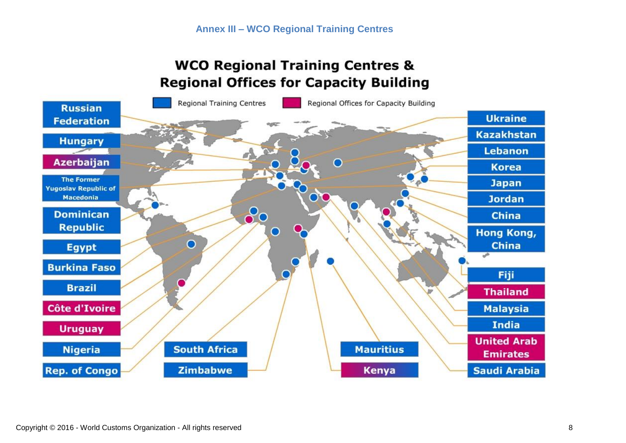# **WCO Regional Training Centres & Regional Offices for Capacity Building**

<span id="page-7-0"></span>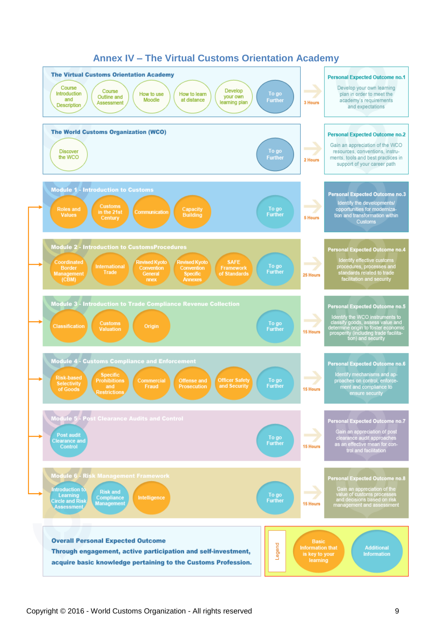<span id="page-8-0"></span>

#### **Annex IV – The Virtual Customs Orientation Academy**